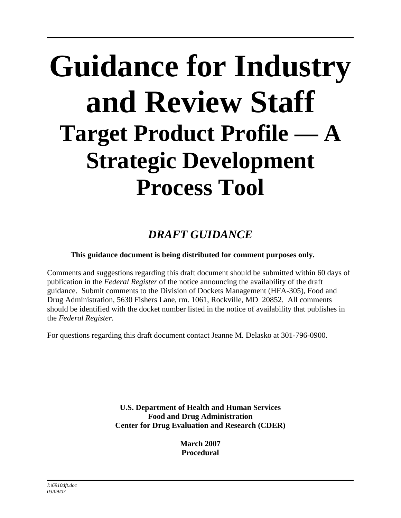# **Guidance for Industry and Review Staff Target Product Profile — A Strategic Development Process Tool**

# *DRAFT GUIDANCE*

#### **This guidance document is being distributed for comment purposes only.**

Comments and suggestions regarding this draft document should be submitted within 60 days of publication in the *Federal Register* of the notice announcing the availability of the draft guidance. Submit comments to the Division of Dockets Management (HFA-305), Food and Drug Administration, 5630 Fishers Lane, rm. 1061, Rockville, MD 20852. All comments should be identified with the docket number listed in the notice of availability that publishes in the *Federal Register*.

For questions regarding this draft document contact Jeanne M. Delasko at 301-796-0900.

**U.S. Department of Health and Human Services Food and Drug Administration Center for Drug Evaluation and Research (CDER)** 

> **March 2007 Procedural**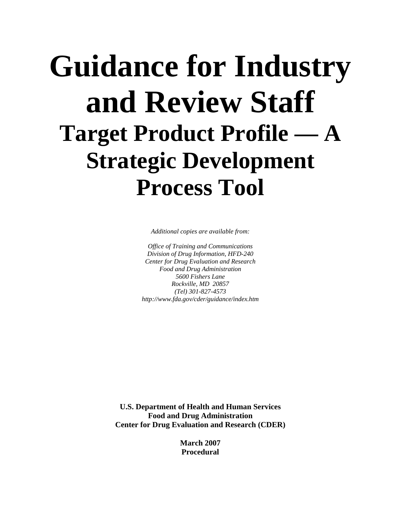# **Guidance for Industry and Review Staff Target Product Profile — A Strategic Development Process Tool**

*Additional copies are available from:* 

*Office of Training and Communications Division of Drug Information, HFD-240 Center for Drug Evaluation and Research Food and Drug Administration 5600 Fishers Lane Rockville, MD 20857 (Tel) 301-827-4573 http://www.fda.gov/cder/guidance/index.htm* 

**U.S. Department of Health and Human Services Food and Drug Administration Center for Drug Evaluation and Research (CDER)** 

> **March 2007 Procedural**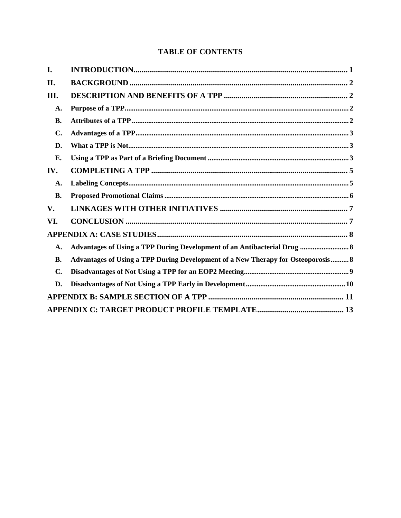#### **TABLE OF CONTENTS**

| I.             |                                                                                  |
|----------------|----------------------------------------------------------------------------------|
| II.            |                                                                                  |
| Ш.             |                                                                                  |
| A.             |                                                                                  |
| <b>B.</b>      |                                                                                  |
| C.             |                                                                                  |
| D.             |                                                                                  |
| Е.             |                                                                                  |
| IV.            |                                                                                  |
| A.             |                                                                                  |
| <b>B.</b>      |                                                                                  |
| $V_{\bullet}$  |                                                                                  |
| VI.            |                                                                                  |
|                |                                                                                  |
| A.             | Advantages of Using a TPP During Development of an Antibacterial Drug  8         |
| <b>B.</b>      | Advantages of Using a TPP During Development of a New Therapy for Osteoporosis 8 |
| $\mathbf{C}$ . |                                                                                  |
| D.             |                                                                                  |
|                |                                                                                  |
|                |                                                                                  |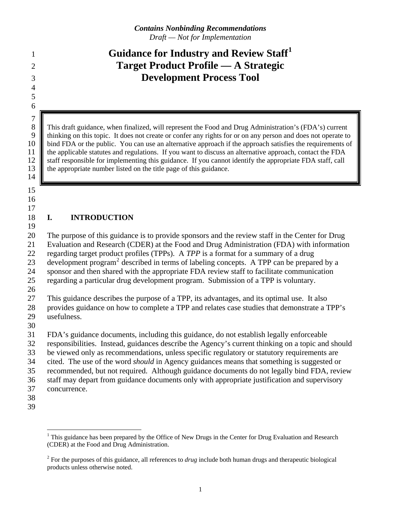## <span id="page-3-0"></span>**Guidance for Industry and Review Staff[1](#page-3-1)** <sup>1</sup> **Target Product Profile — A Strategic Development Process Tool**

8 This draft guidance, when finalized, will represent the Food and Drug Administration's (FDA's) current<br>9 thinking on this topic. It does not create or confer any rights for or on any person and does not operate to 9 thinking on this topic. It does not create or confer any rights for or on any person and does not operate to 10 bind FDA or the public. You can use an alternative approach if the approach satisfies the requirements of 11 the applicable statutes and regulations. If you want to discuss an alternative approach, contact the FDA 12 staff responsible for implementing this guidance. If you cannot identify the appropriate FDA staff, call 13 **the appropriate number listed on the title page of this guidance.** 

14 15

7

16 17

19

#### 18 **I. INTRODUCTION**

20 21 22 23 24 The purpose of this guidance is to provide sponsors and the review staff in the Center for Drug Evaluation and Research (CDER) at the Food and Drug Administration (FDA) with information regarding target product profiles (TPPs). A *TPP* is a format for a summary of a drug development program<sup>[2](#page-3-2)</sup> described in terms of labeling concepts. A TPP can be prepared by a sponsor and then shared with the appropriate FDA review staff to facilitate communication

25 regarding a particular drug development program. Submission of a TPP is voluntary.

26

27 This guidance describes the purpose of a TPP, its advantages, and its optimal use. It also

28 provides guidance on how to complete a TPP and relates case studies that demonstrate a TPP's

- 29 usefulness.
- 30

31 FDA's guidance documents, including this guidance, do not establish legally enforceable

32 responsibilities. Instead, guidances describe the Agency's current thinking on a topic and should

33 be viewed only as recommendations, unless specific regulatory or statutory requirements are

34 cited. The use of the word *should* in Agency guidances means that something is suggested or

35 recommended, but not required. Although guidance documents do not legally bind FDA, review

36 staff may depart from guidance documents only with appropriate justification and supervisory

37 concurrence.

 $\overline{a}$ 

<span id="page-3-1"></span><sup>&</sup>lt;sup>1</sup> This guidance has been prepared by the Office of New Drugs in the Center for Drug Evaluation and Research (CDER) at the Food and Drug Administration.

<span id="page-3-2"></span><sup>&</sup>lt;sup>2</sup> For the purposes of this guidance, all references to *drug* include both human drugs and therapeutic biological products unless otherwise noted.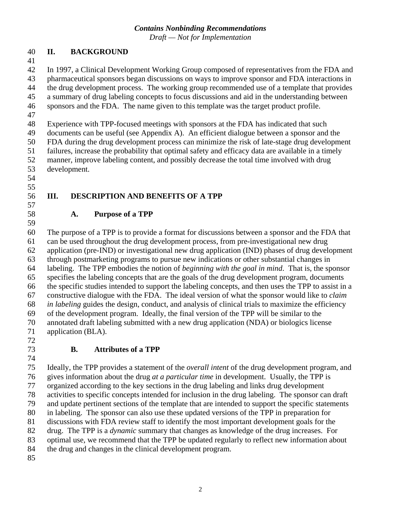*Draft — Not for Implementation* 

#### <span id="page-4-0"></span>40 **II. BACKGROUND**

41

42 43 44 45 46 47 48 In 1997, a Clinical Development Working Group composed of representatives from the FDA and pharmaceutical sponsors began discussions on ways to improve sponsor and FDA interactions in the drug development process. The working group recommended use of a template that provides a summary of drug labeling concepts to focus discussions and aid in the understanding between sponsors and the FDA. The name given to this template was the target product profile. Experience with TPP-focused meetings with sponsors at the FDA has indicated that such

49 50 51 52 53 documents can be useful (see Appendix A). An efficient dialogue between a sponsor and the FDA during the drug development process can minimize the risk of late-stage drug development failures, increase the probability that optimal safety and efficacy data are available in a timely manner, improve labeling content, and possibly decrease the total time involved with drug development.

54

### 55

#### 56 57

58

#### **A. Purpose of a TPP**

**III. DESCRIPTION AND BENEFITS OF A TPP** 

59 60 61 62 63 64 65 66 67 68 69 70 71 The purpose of a TPP is to provide a format for discussions between a sponsor and the FDA that can be used throughout the drug development process, from pre-investigational new drug application (pre-IND) or investigational new drug application (IND) phases of drug development through postmarketing programs to pursue new indications or other substantial changes in labeling. The TPP embodies the notion of *beginning with the goal in mind*. That is, the sponsor specifies the labeling concepts that are the goals of the drug development program, documents the specific studies intended to support the labeling concepts, and then uses the TPP to assist in a constructive dialogue with the FDA. The ideal version of what the sponsor would like to *claim in labeling* guides the design, conduct, and analysis of clinical trials to maximize the efficiency of the development program. Ideally, the final version of the TPP will be similar to the annotated draft labeling submitted with a new drug application (NDA) or biologics license application (BLA).

72

74

## 73

#### **B. Attributes of a TPP**

75 76 77 78 79 80 81 82 83 84 85 Ideally, the TPP provides a statement of the *overall intent* of the drug development program, and gives information about the drug *at a particular time* in development. Usually, the TPP is organized according to the key sections in the drug labeling and links drug development activities to specific concepts intended for inclusion in the drug labeling. The sponsor can draft and update pertinent sections of the template that are intended to support the specific statements in labeling. The sponsor can also use these updated versions of the TPP in preparation for discussions with FDA review staff to identify the most important development goals for the drug. The TPP is a *dynamic* summary that changes as knowledge of the drug increases. For optimal use, we recommend that the TPP be updated regularly to reflect new information about the drug and changes in the clinical development program.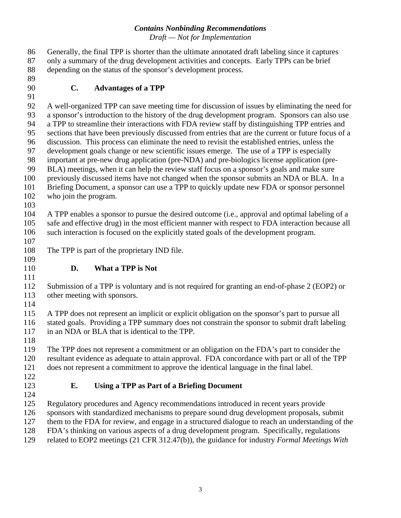<span id="page-5-0"></span>

| 86  | Generally, the final TPP is shorter than the ultimate annotated draft labeling since it captures    |  |  |  |
|-----|-----------------------------------------------------------------------------------------------------|--|--|--|
| 87  | only a summary of the drug development activities and concepts. Early TPPs can be brief             |  |  |  |
| 88  | depending on the status of the sponsor's development process.                                       |  |  |  |
| 89  |                                                                                                     |  |  |  |
| 90  | $C_{\bullet}$<br><b>Advantages of a TPP</b>                                                         |  |  |  |
| 91  |                                                                                                     |  |  |  |
| 92  | A well-organized TPP can save meeting time for discussion of issues by eliminating the need for     |  |  |  |
| 93  | a sponsor's introduction to the history of the drug development program. Sponsors can also use      |  |  |  |
| 94  | a TPP to streamline their interactions with FDA review staff by distinguishing TPP entries and      |  |  |  |
| 95  | sections that have been previously discussed from entries that are the current or future focus of a |  |  |  |
| 96  | discussion. This process can eliminate the need to revisit the established entries, unless the      |  |  |  |
| 97  | development goals change or new scientific issues emerge. The use of a TPP is especially            |  |  |  |
| 98  | important at pre-new drug application (pre-NDA) and pre-biologics license application (pre-         |  |  |  |
| 99  | BLA) meetings, when it can help the review staff focus on a sponsor's goals and make sure           |  |  |  |
| 100 | previously discussed items have not changed when the sponsor submits an NDA or BLA. In a            |  |  |  |
| 101 | Briefing Document, a sponsor can use a TPP to quickly update new FDA or sponsor personnel           |  |  |  |
| 102 | who join the program.                                                                               |  |  |  |
| 103 |                                                                                                     |  |  |  |
| 104 | A TPP enables a sponsor to pursue the desired outcome (i.e., approval and optimal labeling of a     |  |  |  |
| 105 | safe and effective drug) in the most efficient manner with respect to FDA interaction because all   |  |  |  |
| 106 | such interaction is focused on the explicitly stated goals of the development program.              |  |  |  |
| 107 |                                                                                                     |  |  |  |
| 108 | The TPP is part of the proprietary IND file.                                                        |  |  |  |
| 109 |                                                                                                     |  |  |  |
| 110 | D.<br>What a TPP is Not                                                                             |  |  |  |
| 111 |                                                                                                     |  |  |  |
| 112 | Submission of a TPP is voluntary and is not required for granting an end-of-phase 2 (EOP2) or       |  |  |  |
| 113 | other meeting with sponsors.                                                                        |  |  |  |
| 114 |                                                                                                     |  |  |  |
| 115 | A TPP does not represent an implicit or explicit obligation on the sponsor's part to pursue all     |  |  |  |
| 116 | stated goals. Providing a TPP summary does not constrain the sponsor to submit draft labeling       |  |  |  |
| 117 | in an NDA or BLA that is identical to the TPP.                                                      |  |  |  |
| 118 |                                                                                                     |  |  |  |
| 119 | The TPP does not represent a commitment or an obligation on the FDA's part to consider the          |  |  |  |
| 120 | resultant evidence as adequate to attain approval. FDA concordance with part or all of the TPP      |  |  |  |
| 121 | does not represent a commitment to approve the identical language in the final label.               |  |  |  |
| 122 |                                                                                                     |  |  |  |
| 123 | <b>Using a TPP as Part of a Briefing Document</b><br>Е.                                             |  |  |  |
| 124 |                                                                                                     |  |  |  |
| 125 | Regulatory procedures and Agency recommendations introduced in recent years provide                 |  |  |  |
| 126 | sponsors with standardized mechanisms to prepare sound drug development proposals, submit           |  |  |  |
| 127 | them to the FDA for review, and engage in a structured dialogue to reach an understanding of the    |  |  |  |
| 128 | FDA's thinking on various aspects of a drug development program. Specifically, regulations          |  |  |  |
| 129 | related to EOP2 meetings (21 CFR 312.47(b)), the guidance for industry Formal Meetings With         |  |  |  |
|     |                                                                                                     |  |  |  |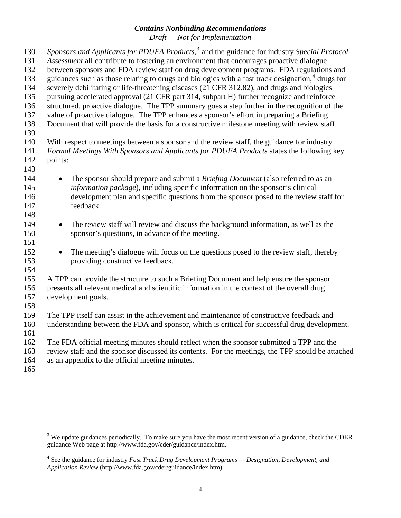*Sponsors and Applicants for PDUFA Products*, [3](#page-6-0) and the guidance for industry *Special Protocol Assessment* all contribute to fostering an environment that encourages proactive dialogue between sponsors and FDA review staff on drug development programs. FDA regulations and guidances such as those relating to drugs and biologics with a fast track designation, [4](#page-6-1) drugs for 130 131 132 133 134 135 136 137 138 139 140 141 142 143 144 145 146 147 148 149 150 151 152 153 154 155 156 157 158 159 160 161 162 163 164 165 severely debilitating or life-threatening diseases (21 CFR 312.82), and drugs and biologics pursuing accelerated approval (21 CFR part 314, subpart H) further recognize and reinforce structured, proactive dialogue. The TPP summary goes a step further in the recognition of the value of proactive dialogue. The TPP enhances a sponsor's effort in preparing a Briefing Document that will provide the basis for a constructive milestone meeting with review staff. With respect to meetings between a sponsor and the review staff, the guidance for industry *Formal Meetings With Sponsors and Applicants for PDUFA Products* states the following key points: • The sponsor should prepare and submit a *Briefing Document* (also referred to as an *information package*), including specific information on the sponsor's clinical development plan and specific questions from the sponsor posed to the review staff for feedback. • The review staff will review and discuss the background information, as well as the sponsor's questions, in advance of the meeting. • The meeting's dialogue will focus on the questions posed to the review staff, thereby providing constructive feedback. A TPP can provide the structure to such a Briefing Document and help ensure the sponsor presents all relevant medical and scientific information in the context of the overall drug development goals. The TPP itself can assist in the achievement and maintenance of constructive feedback and understanding between the FDA and sponsor, which is critical for successful drug development. The FDA official meeting minutes should reflect when the sponsor submitted a TPP and the review staff and the sponsor discussed its contents. For the meetings, the TPP should be attached as an appendix to the official meeting minutes.

 $\overline{a}$ 

<span id="page-6-0"></span> $3$  We update guidances periodically. To make sure you have the most recent version of a guidance, check the CDER guidance Web page at http://www.fda.gov/cder/guidance/index.htm.

<span id="page-6-1"></span><sup>4</sup> See the guidance for industry *Fast Track Drug Development Programs — Designation, Development, and Application Review* (http://www.fda.gov/cder/guidance/index.htm).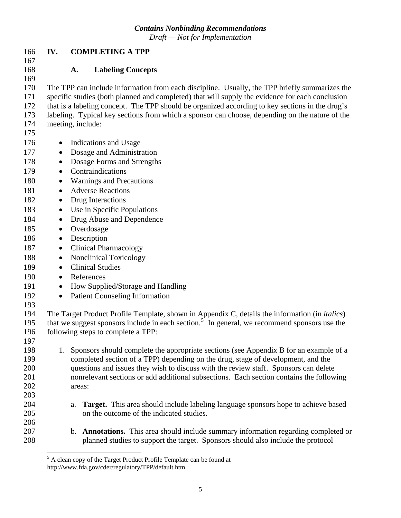167

168

## <span id="page-7-0"></span>166 **IV. COMPLETING A TPP**

**A. Labeling Concepts** 

169 170 171 172 173 174 The TPP can include information from each discipline. Usually, the TPP briefly summarizes the specific studies (both planned and completed) that will supply the evidence for each conclusion that is a labeling concept. The TPP should be organized according to key sections in the drug's labeling. Typical key sections from which a sponsor can choose, depending on the nature of the meeting, include:

- 175
- 176 • Indications and Usage
- 177 • Dosage and Administration
- 178 • Dosage Forms and Strengths
- 179 • Contraindications
- 180 • Warnings and Precautions
- 181 • Adverse Reactions
- 182 • Drug Interactions
- 183 • Use in Specific Populations
- 184 • Drug Abuse and Dependence
- 185 • Overdosage
- 186 • Description
- 187 • Clinical Pharmacology
- 188 • Nonclinical Toxicology
- 189 • Clinical Studies
- 190 • References
- 191 • How Supplied/Storage and Handling
- 192 • Patient Counseling Information
- 193

194 195 196 The Target Product Profile Template, shown in Appendix C, details the information (in *italics*) that we suggest sponsors include in each section.<sup>[5](#page-7-1)</sup> In general, we recommend sponsors use the following steps to complete a TPP:

197

- 198 199 200 201 202 203 1. Sponsors should complete the appropriate sections (see Appendix B for an example of a completed section of a TPP) depending on the drug, stage of development, and the questions and issues they wish to discuss with the review staff. Sponsors can delete nonrelevant sections or add additional subsections. Each section contains the following areas:
	- a. **Target.** This area should include labeling language sponsors hope to achieve based on the outcome of the indicated studies.
	- b. **Annotations.** This area should include summary information regarding completed or planned studies to support the target. Sponsors should also include the protocol

<span id="page-7-1"></span><sup>&</sup>lt;sup>5</sup> A clean copy of the Target Product Profile Template can be found at http://www.fda.gov/cder/regulatory/TPP/default.htm.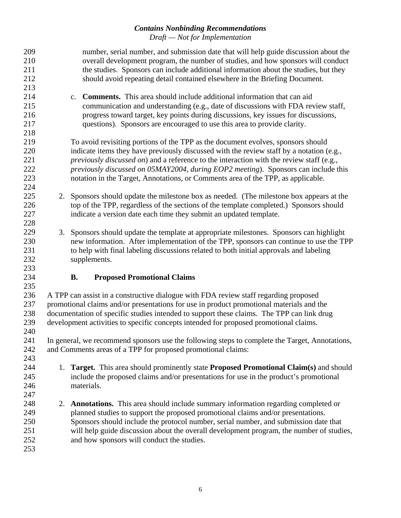<span id="page-8-0"></span>

| 209<br>210<br>211<br>212<br>213        | number, serial number, and submission date that will help guide discussion about the<br>overall development program, the number of studies, and how sponsors will conduct<br>the studies. Sponsors can include additional information about the studies, but they<br>should avoid repeating detail contained elsewhere in the Briefing Document.                                                                                                           |
|----------------------------------------|------------------------------------------------------------------------------------------------------------------------------------------------------------------------------------------------------------------------------------------------------------------------------------------------------------------------------------------------------------------------------------------------------------------------------------------------------------|
| 214<br>215<br>216<br>217<br>218        | c. <b>Comments.</b> This area should include additional information that can aid<br>communication and understanding (e.g., date of discussions with FDA review staff,<br>progress toward target, key points during discussions, key issues for discussions,<br>questions). Sponsors are encouraged to use this area to provide clarity.                                                                                                                    |
| 219<br>220<br>221<br>222<br>223<br>224 | To avoid revisiting portions of the TPP as the document evolves, sponsors should<br>indicate items they have previously discussed with the review staff by a notation (e.g.,<br><i>previously discussed on</i> ) and a reference to the interaction with the review staff (e.g.,<br>previously discussed on 05MAY2004, during EOP2 meeting). Sponsors can include this<br>notation in the Target, Annotations, or Comments area of the TPP, as applicable. |
| 225<br>226<br>227<br>228               | 2. Sponsors should update the milestone box as needed. (The milestone box appears at the<br>top of the TPP, regardless of the sections of the template completed.) Sponsors should<br>indicate a version date each time they submit an updated template.                                                                                                                                                                                                   |
| 229<br>230<br>231<br>232<br>233        | 3. Sponsors should update the template at appropriate milestones. Sponsors can highlight<br>new information. After implementation of the TPP, sponsors can continue to use the TPP<br>to help with final labeling discussions related to both initial approvals and labeling<br>supplements.                                                                                                                                                               |
|                                        |                                                                                                                                                                                                                                                                                                                                                                                                                                                            |
| 234                                    | <b>Proposed Promotional Claims</b><br><b>B.</b>                                                                                                                                                                                                                                                                                                                                                                                                            |
| 235<br>236<br>237<br>238<br>239<br>240 | A TPP can assist in a constructive dialogue with FDA review staff regarding proposed<br>promotional claims and/or presentations for use in product promotional materials and the<br>documentation of specific studies intended to support these claims. The TPP can link drug<br>development activities to specific concepts intended for proposed promotional claims.                                                                                     |
| 241<br>242                             | In general, we recommend sponsors use the following steps to complete the Target, Annotations,<br>and Comments areas of a TPP for proposed promotional claims:                                                                                                                                                                                                                                                                                             |
| 243<br>244<br>245<br>246<br>247        | 1. Target. This area should prominently state Proposed Promotional Claim(s) and should<br>include the proposed claims and/or presentations for use in the product's promotional<br>materials.                                                                                                                                                                                                                                                              |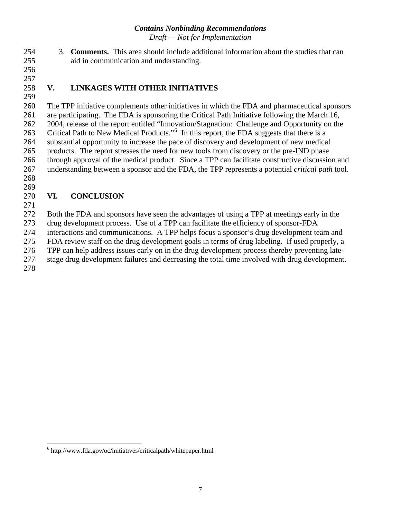- <span id="page-9-0"></span>3. **Comments.** This area should include additional information about the studies that can aid in communication and understanding. 254 255
- 256 257

258 259

## **V. LINKAGES WITH OTHER INITIATIVES**

260 261 262 263 264 265 266 267 268 The TPP initiative complements other initiatives in which the FDA and pharmaceutical sponsors are participating. The FDA is sponsoring the Critical Path Initiative following the March 16, 2004, release of the report entitled "Innovation/Stagnation: Challenge and Opportunity on the Critical Path to New Medical Products."<sup>[6](#page-9-1)</sup> In this report, the FDA suggests that there is a substantial opportunity to increase the pace of discovery and development of new medical products. The report stresses the need for new tools from discovery or the pre-IND phase through approval of the medical product. Since a TPP can facilitate constructive discussion and understanding between a sponsor and the FDA, the TPP represents a potential *critical path* tool.

269

#### 270 **VI. CONCLUSION**

271

 $\overline{a}$ 

272 273 274 275 276 277 278 Both the FDA and sponsors have seen the advantages of using a TPP at meetings early in the drug development process. Use of a TPP can facilitate the efficiency of sponsor-FDA interactions and communications. A TPP helps focus a sponsor's drug development team and FDA review staff on the drug development goals in terms of drug labeling. If used properly, a TPP can help address issues early on in the drug development process thereby preventing latestage drug development failures and decreasing the total time involved with drug development.

<span id="page-9-1"></span><sup>6</sup> http://www.fda.gov/oc/initiatives/criticalpath/whitepaper.html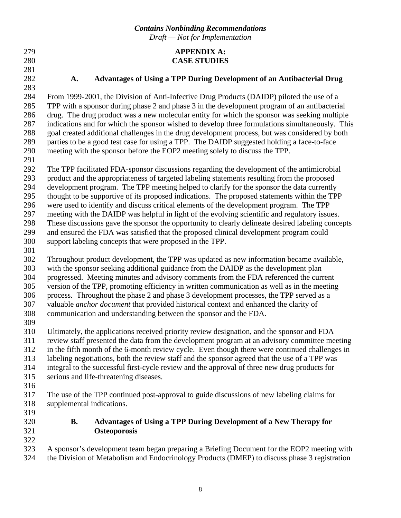<span id="page-10-0"></span>279 **APPENDIX A: CASE STUDIES** 

- 280 281
- 282 283

#### **A. Advantages of Using a TPP During Development of an Antibacterial Drug**

284 285 286 287 288 289 290 From 1999-2001, the Division of Anti-Infective Drug Products (DAIDP) piloted the use of a TPP with a sponsor during phase 2 and phase 3 in the development program of an antibacterial drug. The drug product was a new molecular entity for which the sponsor was seeking multiple indications and for which the sponsor wished to develop three formulations simultaneously. This goal created additional challenges in the drug development process, but was considered by both parties to be a good test case for using a TPP. The DAIDP suggested holding a face-to-face meeting with the sponsor before the EOP2 meeting solely to discuss the TPP.

291

292 293 The TPP facilitated FDA-sponsor discussions regarding the development of the antimicrobial product and the appropriateness of targeted labeling statements resulting from the proposed

294 development program. The TPP meeting helped to clarify for the sponsor the data currently

295 thought to be supportive of its proposed indications. The proposed statements within the TPP

296 were used to identify and discuss critical elements of the development program. The TPP

297 298 meeting with the DAIDP was helpful in light of the evolving scientific and regulatory issues. These discussions gave the sponsor the opportunity to clearly delineate desired labeling concepts

299 and ensured the FDA was satisfied that the proposed clinical development program could

- 300 support labeling concepts that were proposed in the TPP.
- 301

302 303 Throughout product development, the TPP was updated as new information became available, with the sponsor seeking additional guidance from the DAIDP as the development plan

304 progressed. Meeting minutes and advisory comments from the FDA referenced the current

305 version of the TPP, promoting efficiency in written communication as well as in the meeting

306 307 process. Throughout the phase 2 and phase 3 development processes, the TPP served as a valuable *anchor document* that provided historical context and enhanced the clarity of

308 communication and understanding between the sponsor and the FDA.

309

310 311 Ultimately, the applications received priority review designation, and the sponsor and FDA review staff presented the data from the development program at an advisory committee meeting

312 in the fifth month of the 6-month review cycle. Even though there were continued challenges in

313 labeling negotiations, both the review staff and the sponsor agreed that the use of a TPP was

314 integral to the successful first-cycle review and the approval of three new drug products for

- 315 serious and life-threatening diseases.
- 316

317 318 The use of the TPP continued post-approval to guide discussions of new labeling claims for supplemental indications.

319 320

321 322 **B. Advantages of Using a TPP During Development of a New Therapy for Osteoporosis** 

323 324 A sponsor's development team began preparing a Briefing Document for the EOP2 meeting with the Division of Metabolism and Endocrinology Products (DMEP) to discuss phase 3 registration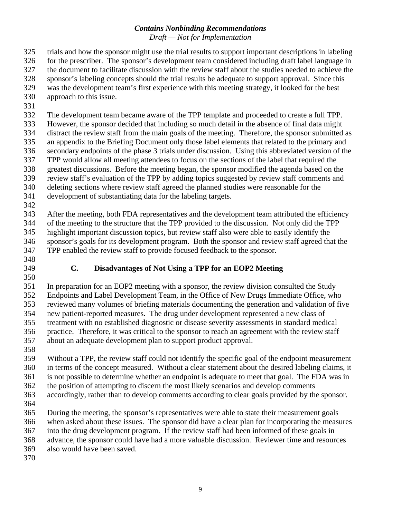<span id="page-11-0"></span>325 trials and how the sponsor might use the trial results to support important descriptions in labeling

326 for the prescriber. The sponsor's development team considered including draft label language in

- 327 the document to facilitate discussion with the review staff about the studies needed to achieve the
- 328 sponsor's labeling concepts should the trial results be adequate to support approval. Since this
- 329 was the development team's first experience with this meeting strategy, it looked for the best
- 330 approach to this issue.
- 331

332 The development team became aware of the TPP template and proceeded to create a full TPP.

333 334 However, the sponsor decided that including so much detail in the absence of final data might distract the review staff from the main goals of the meeting. Therefore, the sponsor submitted as

335 336 an appendix to the Briefing Document only those label elements that related to the primary and secondary endpoints of the phase 3 trials under discussion. Using this abbreviated version of the

337 TPP would allow all meeting attendees to focus on the sections of the label that required the

338 greatest discussions. Before the meeting began, the sponsor modified the agenda based on the

339 review staff's evaluation of the TPP by adding topics suggested by review staff comments and

340 deleting sections where review staff agreed the planned studies were reasonable for the

341 development of substantiating data for the labeling targets.

342

343 344 345 346 347 After the meeting, both FDA representatives and the development team attributed the efficiency of the meeting to the structure that the TPP provided to the discussion. Not only did the TPP highlight important discussion topics, but review staff also were able to easily identify the sponsor's goals for its development program. Both the sponsor and review staff agreed that the TPP enabled the review staff to provide focused feedback to the sponsor.

348 349

350

**C. Disadvantages of Not Using a TPP for an EOP2 Meeting** 

351 352 353 354 355 356 357 In preparation for an EOP2 meeting with a sponsor, the review division consulted the Study Endpoints and Label Development Team, in the Office of New Drugs Immediate Office, who reviewed many volumes of briefing materials documenting the generation and validation of five new patient-reported measures. The drug under development represented a new class of treatment with no established diagnostic or disease severity assessments in standard medical practice. Therefore, it was critical to the sponsor to reach an agreement with the review staff about an adequate development plan to support product approval.

358

359 360 361 362 363 Without a TPP, the review staff could not identify the specific goal of the endpoint measurement in terms of the concept measured. Without a clear statement about the desired labeling claims, it is not possible to determine whether an endpoint is adequate to meet that goal. The FDA was in the position of attempting to discern the most likely scenarios and develop comments accordingly, rather than to develop comments according to clear goals provided by the sponsor.

364

365 366 367 368 During the meeting, the sponsor's representatives were able to state their measurement goals when asked about these issues. The sponsor did have a clear plan for incorporating the measures into the drug development program. If the review staff had been informed of these goals in advance, the sponsor could have had a more valuable discussion. Reviewer time and resources

369 also would have been saved.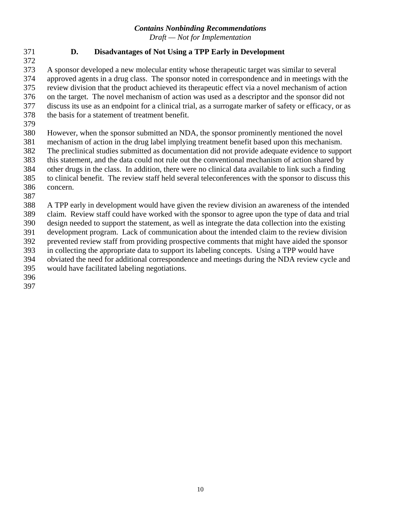*Draft — Not for Implementation* 

#### <span id="page-12-0"></span>371 **D. Disadvantages of Not Using a TPP Early in Development**

373 374 375 376 377 378 A sponsor developed a new molecular entity whose therapeutic target was similar to several approved agents in a drug class. The sponsor noted in correspondence and in meetings with the review division that the product achieved its therapeutic effect via a novel mechanism of action on the target. The novel mechanism of action was used as a descriptor and the sponsor did not discuss its use as an endpoint for a clinical trial, as a surrogate marker of safety or efficacy, or as the basis for a statement of treatment benefit.

379

372

380 381 382 383 384 385 However, when the sponsor submitted an NDA, the sponsor prominently mentioned the novel mechanism of action in the drug label implying treatment benefit based upon this mechanism. The preclinical studies submitted as documentation did not provide adequate evidence to support this statement, and the data could not rule out the conventional mechanism of action shared by other drugs in the class. In addition, there were no clinical data available to link such a finding to clinical benefit. The review staff held several teleconferences with the sponsor to discuss this

386 387 concern.

388 A TPP early in development would have given the review division an awareness of the intended

389 claim. Review staff could have worked with the sponsor to agree upon the type of data and trial

390 design needed to support the statement, as well as integrate the data collection into the existing

391 development program. Lack of communication about the intended claim to the review division

392 393 prevented review staff from providing prospective comments that might have aided the sponsor in collecting the appropriate data to support its labeling concepts. Using a TPP would have

394 obviated the need for additional correspondence and meetings during the NDA review cycle and

- 395 would have facilitated labeling negotiations.
- 396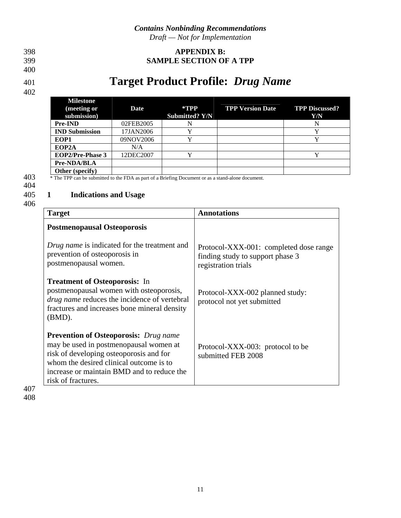#### <span id="page-13-0"></span>398 **APPENDIX B: SAMPLE SECTION OF A TPP**

#### 399 400

#### 401

402

# **Target Product Profile:** *Drug Name*

|                                                                                                           | <b>Milestone</b><br>(meeting or<br>submission) | Date      | *TPP<br><b>Submitted? Y/N</b> | <b>TPP Version Date</b> | <b>TPP Discussed?</b><br>Y/N |
|-----------------------------------------------------------------------------------------------------------|------------------------------------------------|-----------|-------------------------------|-------------------------|------------------------------|
|                                                                                                           | <b>Pre-IND</b>                                 | 02FEB2005 |                               |                         |                              |
|                                                                                                           | <b>IND Submission</b>                          | 17JAN2006 |                               |                         |                              |
|                                                                                                           | EOP1                                           | 09NOV2006 |                               |                         |                              |
|                                                                                                           | EOP <sub>2</sub> A                             | N/A       |                               |                         |                              |
|                                                                                                           | <b>EOP2/Pre-Phase 3</b>                        | 12DEC2007 |                               |                         |                              |
|                                                                                                           | Pre-NDA/BLA                                    |           |                               |                         |                              |
|                                                                                                           | Other (specify)                                |           |                               |                         |                              |
| 403<br>* The TPP can be submitted to the FDA as part of a Briefing Document or as a stand-alone document. |                                                |           |                               |                         |                              |

## 404

#### 405 **1 Indications and Usage**

| <b>Target</b>                                                                                                                                                                                                                                    | <b>Annotations</b>                                                                                |
|--------------------------------------------------------------------------------------------------------------------------------------------------------------------------------------------------------------------------------------------------|---------------------------------------------------------------------------------------------------|
| <b>Postmenopausal Osteoporosis</b>                                                                                                                                                                                                               |                                                                                                   |
| Drug name is indicated for the treatment and<br>prevention of osteoporosis in<br>postmenopausal women.                                                                                                                                           | Protocol-XXX-001: completed dose range<br>finding study to support phase 3<br>registration trials |
| <b>Treatment of Osteoporosis:</b> In<br>postmenopausal women with osteoporosis,<br><i>drug name</i> reduces the incidence of vertebral<br>fractures and increases bone mineral density<br>$(BMD)$ .                                              | Protocol-XXX-002 planned study:<br>protocol not yet submitted                                     |
| <b>Prevention of Osteoporosis:</b> Drug name<br>may be used in postmenopausal women at<br>risk of developing osteoporosis and for<br>whom the desired clinical outcome is to<br>increase or maintain BMD and to reduce the<br>risk of fractures. | Protocol-XXX-003: protocol to be<br>submitted FEB 2008                                            |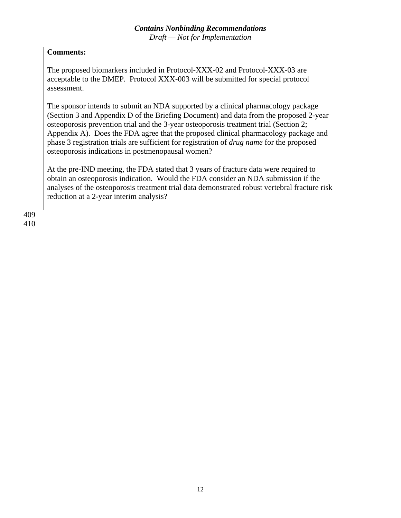#### **Comments:**

The proposed biomarkers included in Protocol-XXX-02 and Protocol-XXX-03 are acceptable to the DMEP. Protocol XXX-003 will be submitted for special protocol assessment.

The sponsor intends to submit an NDA supported by a clinical pharmacology package (Section 3 and Appendix D of the Briefing Document) and data from the proposed 2-year osteoporosis prevention trial and the 3-year osteoporosis treatment trial (Section 2; Appendix A). Does the FDA agree that the proposed clinical pharmacology package and phase 3 registration trials are sufficient for registration of *drug name* for the proposed osteoporosis indications in postmenopausal women?

At the pre-IND meeting, the FDA stated that 3 years of fracture data were required to obtain an osteoporosis indication. Would the FDA consider an NDA submission if the analyses of the osteoporosis treatment trial data demonstrated robust vertebral fracture risk reduction at a 2-year interim analysis?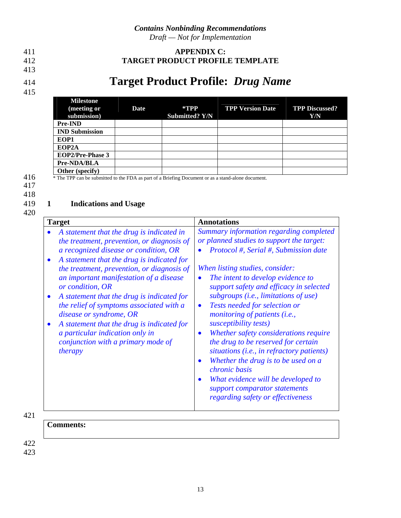412

#### 413

414

#### <span id="page-15-0"></span>411 **APPENDIX C: TARGET PRODUCT PROFILE TEMPLATE**

# **Target Product Profile:** *Drug Name*

415

|     | <b>Milestone</b><br>(meeting or<br>submission)                                                     | Date | $*$ TPP<br><b>Submitted? Y/N</b> | <b>TPP Version Date</b> | <b>TPP Discussed?</b><br>Y/N |
|-----|----------------------------------------------------------------------------------------------------|------|----------------------------------|-------------------------|------------------------------|
|     | <b>Pre-IND</b>                                                                                     |      |                                  |                         |                              |
|     | <b>IND Submission</b>                                                                              |      |                                  |                         |                              |
|     | EOP1                                                                                               |      |                                  |                         |                              |
|     | EOP <sub>2</sub> A                                                                                 |      |                                  |                         |                              |
|     | <b>EOP2/Pre-Phase 3</b>                                                                            |      |                                  |                         |                              |
|     | Pre-NDA/BLA                                                                                        |      |                                  |                         |                              |
|     | Other (specify)                                                                                    |      |                                  |                         |                              |
| 416 | * The TPP can be submitted to the FDA as part of a Briefing Document or as a stand-alone document. |      |                                  |                         |                              |

417 418

#### 419 **1 Indications and Usage**

420

| <b>Target</b>                                                                                                                                                                                                                                                                                                                                                                                                                                                                                                                                             | <b>Annotations</b>                                                                                                                                                                                                                                                                                                                                                                                                                                                                                                                                                                                                                                                                                                          |  |  |  |
|-----------------------------------------------------------------------------------------------------------------------------------------------------------------------------------------------------------------------------------------------------------------------------------------------------------------------------------------------------------------------------------------------------------------------------------------------------------------------------------------------------------------------------------------------------------|-----------------------------------------------------------------------------------------------------------------------------------------------------------------------------------------------------------------------------------------------------------------------------------------------------------------------------------------------------------------------------------------------------------------------------------------------------------------------------------------------------------------------------------------------------------------------------------------------------------------------------------------------------------------------------------------------------------------------------|--|--|--|
| A statement that the drug is indicated in<br>the treatment, prevention, or diagnosis of<br>a recognized disease or condition, OR<br>A statement that the drug is indicated for<br>the treatment, prevention, or diagnosis of<br>an important manifestation of a disease<br>or condition, OR<br>A statement that the drug is indicated for<br>the relief of symptoms associated with a<br>disease or syndrome, OR<br>A statement that the drug is indicated for<br>a particular indication only in<br>conjunction with a primary mode of<br><i>therapy</i> | Summary information regarding completed<br>or planned studies to support the target:<br>Protocol #, Serial #, Submission date<br>When listing studies, consider:<br>The intent to develop evidence to<br>support safety and efficacy in selected<br>subgroups (i.e., limitations of use)<br>Tests needed for selection or<br>$\bullet$<br>monitoring of patients (i.e.,<br>susceptibility tests)<br>Whether safety considerations require<br>$\bullet$<br>the drug to be reserved for certain<br>situations (i.e., in refractory patients)<br>Whether the drug is to be used on a<br>chronic basis<br>What evidence will be developed to<br>$\bullet$<br>support comparator statements<br>regarding safety or effectiveness |  |  |  |
|                                                                                                                                                                                                                                                                                                                                                                                                                                                                                                                                                           |                                                                                                                                                                                                                                                                                                                                                                                                                                                                                                                                                                                                                                                                                                                             |  |  |  |

421

**Comments:**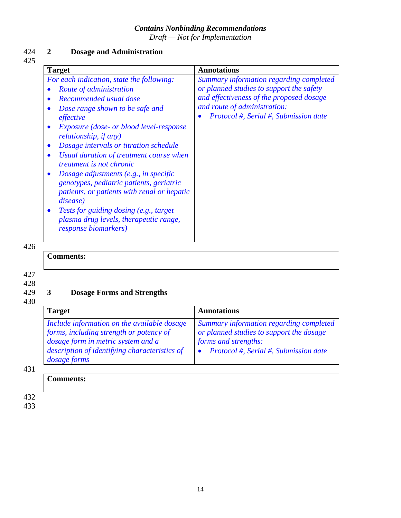*Draft — Not for Implementation* 

#### 424 **2 Dosage and Administration** 425

| <b>Target</b>                                                                                                                                                                                                                                                                                                                                                                                                                                                                                                                                                                                                                                                   | <b>Annotations</b>                                                                                                                                                                                       |
|-----------------------------------------------------------------------------------------------------------------------------------------------------------------------------------------------------------------------------------------------------------------------------------------------------------------------------------------------------------------------------------------------------------------------------------------------------------------------------------------------------------------------------------------------------------------------------------------------------------------------------------------------------------------|----------------------------------------------------------------------------------------------------------------------------------------------------------------------------------------------------------|
| For each indication, state the following:<br>Route of administration<br>Recommended usual dose<br>Dose range shown to be safe and<br>effective<br><i>Exposure (dose- or blood level-response</i><br><i>relationship, if any</i> )<br>Dosage intervals or titration schedule<br>$\bullet$<br>Usual duration of treatment course when<br><i>treatment is not chronic</i><br>Dosage adjustments (e.g., in specific<br>$\bullet$<br>genotypes, pediatric patients, geriatric<br>patients, or patients with renal or hepatic<br><i>disease</i> )<br><i>Tests for guiding dosing (e.g., target)</i><br>plasma drug levels, therapeutic range,<br>response biomarkers) | Summary information regarding completed<br>or planned studies to support the safety<br>and effectiveness of the proposed dosage<br>and route of administration:<br>Protocol #, Serial #, Submission date |

426

**Comments:**

427

428 429

## **3 Dosage Forms and Strengths**

430

| <b>Target</b>                                                                                                                                                                                 | <b>Annotations</b>                                                                                                                                   |
|-----------------------------------------------------------------------------------------------------------------------------------------------------------------------------------------------|------------------------------------------------------------------------------------------------------------------------------------------------------|
| Include information on the available dosage<br>forms, including strength or potency of<br>dosage form in metric system and a<br>description of identifying characteristics of<br>dosage forms | Summary information regarding completed<br>or planned studies to support the dosage<br>forms and strengths:<br>Protocol #, Serial #, Submission date |

431

| -<br><b>Comments:</b> |  |  |  |
|-----------------------|--|--|--|
|                       |  |  |  |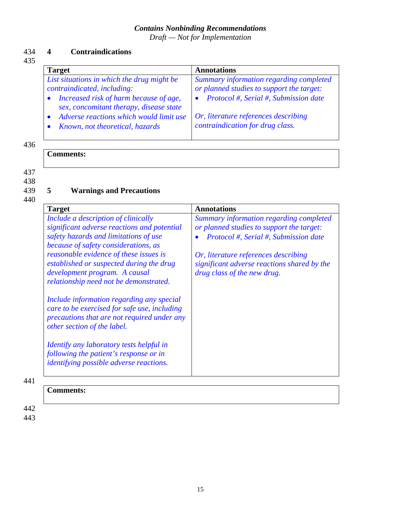*Draft — Not for Implementation* 

#### 434 **4 Contraindications**

#### 435

| <b>Target</b>                                                                                                                                                                                                                                | <b>Annotations</b>                                                                                                                                                                                        |
|----------------------------------------------------------------------------------------------------------------------------------------------------------------------------------------------------------------------------------------------|-----------------------------------------------------------------------------------------------------------------------------------------------------------------------------------------------------------|
| List situations in which the drug might be<br>contraindicated, including:<br>Increased risk of harm because of age,<br>sex, concomitant therapy, disease state<br>Adverse reactions which would limit use<br>Known, not theoretical, hazards | Summary information regarding completed<br>or planned studies to support the target:<br>Protocol #, Serial #, Submission date<br>Or, literature references describing<br>contraindication for drug class. |

#### 436

#### **Comments:**

437

438

439

## **5 Warnings and Precautions**

440

| <b>Target</b>                                                                                                                                                                                                                                                                                                                                                                                                                                                                                                                                                                                                                                                         | <b>Annotations</b>                                                                                                                                                                                                                                  |
|-----------------------------------------------------------------------------------------------------------------------------------------------------------------------------------------------------------------------------------------------------------------------------------------------------------------------------------------------------------------------------------------------------------------------------------------------------------------------------------------------------------------------------------------------------------------------------------------------------------------------------------------------------------------------|-----------------------------------------------------------------------------------------------------------------------------------------------------------------------------------------------------------------------------------------------------|
| Include a description of clinically<br>significant adverse reactions and potential<br>safety hazards and limitations of use<br>because of safety considerations, as<br><i>reasonable evidence of these issues is</i><br>established or suspected during the drug<br>development program. A causal<br>relationship need not be demonstrated.<br>Include information regarding any special<br>care to be exercised for safe use, including<br>precautions that are not required under any<br>other section of the label.<br><i>Identify any laboratory tests helpful in</i><br>following the patient's response or in<br><i>identifying possible adverse reactions.</i> | Summary information regarding completed<br>or planned studies to support the target:<br>Protocol #, Serial #, Submission date<br>Or, literature references describing<br>significant adverse reactions shared by the<br>drug class of the new drug. |
|                                                                                                                                                                                                                                                                                                                                                                                                                                                                                                                                                                                                                                                                       |                                                                                                                                                                                                                                                     |

#### **Comments:**

442 443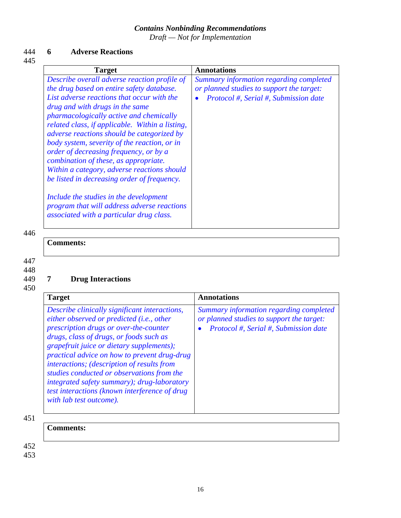*Draft — Not for Implementation* 

#### 444 **6 Adverse Reactions**

445

| Summary information regarding completed<br>or planned studies to support the target:<br>Protocol #, Serial #, Submission date |
|-------------------------------------------------------------------------------------------------------------------------------|
|                                                                                                                               |
|                                                                                                                               |

446

#### **Comments:**

**Comments:**

447

#### 448 449

450

## **7 Drug Interactions**

| <b>Target</b>                                                                                                                                                                                                                                                                                                                                                                                                                                                                                       | Annotations                                                                                                                   |
|-----------------------------------------------------------------------------------------------------------------------------------------------------------------------------------------------------------------------------------------------------------------------------------------------------------------------------------------------------------------------------------------------------------------------------------------------------------------------------------------------------|-------------------------------------------------------------------------------------------------------------------------------|
| Describe clinically significant interactions,<br>either observed or predicted (i.e., other<br>prescription drugs or over-the-counter<br>drugs, class of drugs, or foods such as<br>grapefruit juice or dietary supplements);<br>practical advice on how to prevent drug-drug<br>interactions; (description of results from<br>studies conducted or observations from the<br>integrated safety summary); drug-laboratory<br>test interactions (known interference of drug<br>with lab test outcome). | Summary information regarding completed<br>or planned studies to support the target:<br>Protocol #, Serial #, Submission date |

451

452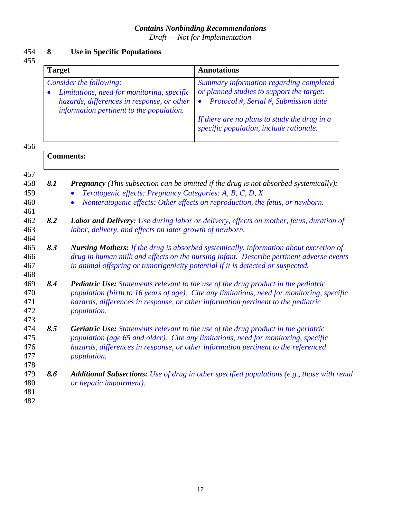*Draft — Not for Implementation* 

#### 454 **8 Use in Specific Populations**

455

459 460 461

464

| Summary information regarding completed<br>or planned studies to support the target:<br>Protocol #, Serial #, Submission date |
|-------------------------------------------------------------------------------------------------------------------------------|
|                                                                                                                               |
|                                                                                                                               |
|                                                                                                                               |
| If there are no plans to study the drug in a                                                                                  |
| specific population, include rationale.                                                                                       |
|                                                                                                                               |
|                                                                                                                               |
|                                                                                                                               |

- *Teratogenic effects: Pregnancy Categories: A, B, C, D, X*
- *Nonteratogenic effects: Other effects on reproduction, the fetus, or newborn.*
- 462 463 *8.2 Labor and Delivery: Use during labor or delivery, effects on mother, fetus, duration of labor, delivery, and effects on later growth of newborn.*
- 465 466 467 468 *8.3 Nursing Mothers: If the drug is absorbed systemically, information about excretion of drug in human milk and effects on the nursing infant. Describe pertinent adverse events in animal offspring or tumorigenicity potential if it is detected or suspected.*

#### 469 470 471 472 *8.4 Pediatric Use: Statements relevant to the use of the drug product in the pediatric population (birth to 16 years of age). Cite any limitations, need for monitoring, specific hazards, differences in response, or other information pertinent to the pediatric population.*

- 473 474 475 476 477 *8.5 Geriatric Use: Statements relevant to the use of the drug product in the geriatric population (age 65 and older). Cite any limitations, need for monitoring, specific hazards, differences in response, or other information pertinent to the referenced population.*
- 479 480 *8.6 Additional Subsections: Use of drug in other specified populations (e.g., those with renal or hepatic impairment).*
- 481 482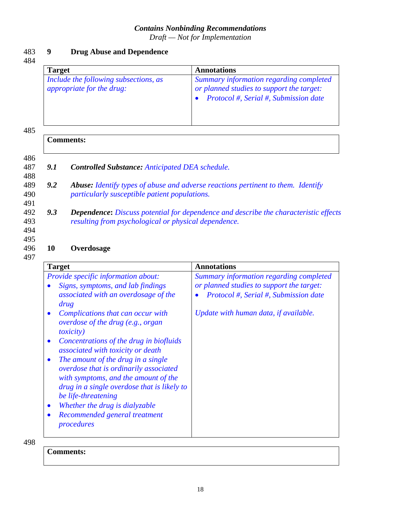*Draft — Not for Implementation* 

#### 483 **9 Drug Abuse and Dependence**

*9.1 Controlled Substance: Anticipated DEA schedule.*

*particularly susceptible patient populations.*

*resulting from psychological or physical dependence.*

#### 484

| <b>Target</b>                                                             | <b>Annotations</b>                                                                                                            |
|---------------------------------------------------------------------------|-------------------------------------------------------------------------------------------------------------------------------|
| Include the following subsections, as<br><i>appropriate for the drug:</i> | Summary information regarding completed<br>or planned studies to support the target:<br>Protocol #, Serial #, Submission date |

*9.2 Abuse: Identify types of abuse and adverse reactions pertinent to them. Identify* 

*9.3 Dependence***:** *Discuss potential for dependence and describe the characteristic effects* 

#### 485

#### 486 487 488 489 490 491 492 493

#### 494 495

#### 496 497 **10 Overdosage**

**Comments:**

| <b>Target</b>                                                                                                                                                                                                                                                                                                                                                                                                                                                                                                                                                                                                                                     | <b>Annotations</b>                                                                                                                                                     |
|---------------------------------------------------------------------------------------------------------------------------------------------------------------------------------------------------------------------------------------------------------------------------------------------------------------------------------------------------------------------------------------------------------------------------------------------------------------------------------------------------------------------------------------------------------------------------------------------------------------------------------------------------|------------------------------------------------------------------------------------------------------------------------------------------------------------------------|
| <i>Provide specific information about:</i><br>Signs, symptoms, and lab findings<br>associated with an overdosage of the<br>drug<br>Complications that can occur with<br>$\bullet$<br>overdose of the drug (e.g., organ<br><i>toxicity</i> )<br>Concentrations of the drug in biofluids<br>$\bullet$<br>associated with toxicity or death<br>The amount of the drug in a single<br>$\bullet$<br>overdose that is ordinarily associated<br>with symptoms, and the amount of the<br>drug in a single overdose that is likely to<br>be life-threatening<br>Whether the drug is dialyzable<br>$\bullet$<br>Recommended general treatment<br>procedures | Summary information regarding completed<br>or planned studies to support the target:<br>Protocol #, Serial #, Submission date<br>Update with human data, if available. |

498

**Comments:**

|  | L.<br>× |
|--|---------|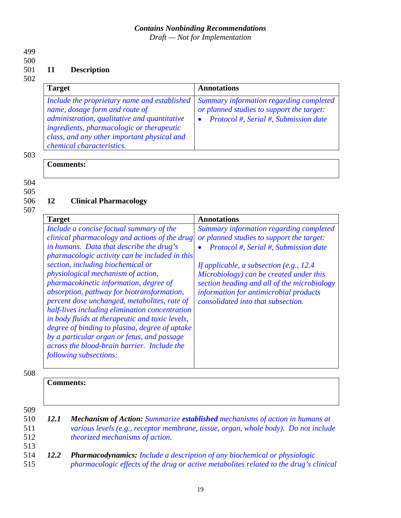*Draft — Not for Implementation* 

499

#### 500

#### 501 **11 Description**

#### 502

| <b>Target</b>                                                                                                                                                                                                                                           | Annotations                                                                                                                   |
|---------------------------------------------------------------------------------------------------------------------------------------------------------------------------------------------------------------------------------------------------------|-------------------------------------------------------------------------------------------------------------------------------|
| Include the proprietary name and established<br>name, dosage form and route of<br>administration, qualitative and quantitative<br>ingredients, pharmacologic or therapeutic<br>class, and any other important physical and<br>chemical characteristics. | Summary information regarding completed<br>or planned studies to support the target:<br>Protocol #, Serial #, Submission date |

503

#### **Comments:**

504

505 506

## **12 Clinical Pharmacology**

507

| <b>Target</b>                                                                                                                                                                                                                                                                                                                                                                                                                                                                                                                                                                                                                                                                            | <b>Annotations</b>                                                                                                                                                                                                                                                                                                                                     |
|------------------------------------------------------------------------------------------------------------------------------------------------------------------------------------------------------------------------------------------------------------------------------------------------------------------------------------------------------------------------------------------------------------------------------------------------------------------------------------------------------------------------------------------------------------------------------------------------------------------------------------------------------------------------------------------|--------------------------------------------------------------------------------------------------------------------------------------------------------------------------------------------------------------------------------------------------------------------------------------------------------------------------------------------------------|
| Include a concise factual summary of the<br>clinical pharmacology and actions of the drug<br>in humans. Data that describe the drug's<br>pharmacologic activity can be included in this<br>section, including biochemical or<br>physiological mechanism of action,<br>pharmacokinetic information, degree of<br>absorption, pathway for biotransformation,<br>percent dose unchanged, metabolites, rate of<br>half-lives including elimination concentration<br>in body fluids at therapeutic and toxic levels,<br>degree of binding to plasma, degree of uptake<br>by a particular organ or fetus, and passage<br>across the blood-brain barrier. Include the<br>following subsections: | Summary information regarding completed<br>or planned studies to support the target:<br>Protocol #, Serial #, Submission date<br>If applicable, a subsection (e.g., $12.4$ )<br>Microbiology) can be created under this<br>section heading and all of the microbiology<br>information for antimicrobial products<br>consolidated into that subsection. |
|                                                                                                                                                                                                                                                                                                                                                                                                                                                                                                                                                                                                                                                                                          |                                                                                                                                                                                                                                                                                                                                                        |

|                          |             | <b>Comments:</b>                                                                                                                                                                                              |
|--------------------------|-------------|---------------------------------------------------------------------------------------------------------------------------------------------------------------------------------------------------------------|
| 509<br>510<br>511<br>512 | <i>12.1</i> | <b>Mechanism of Action:</b> Summarize established mechanisms of action in humans at<br>various levels (e.g., receptor membrane, tissue, organ, whole body). Do not include<br>theorized mechanisms of action. |
| 513<br>514<br>515        | 12.2        | <b>Pharmacodynamics:</b> Include a description of any biochemical or physiologic<br>pharmacologic effects of the drug or active metabolites related to the drug's clinical                                    |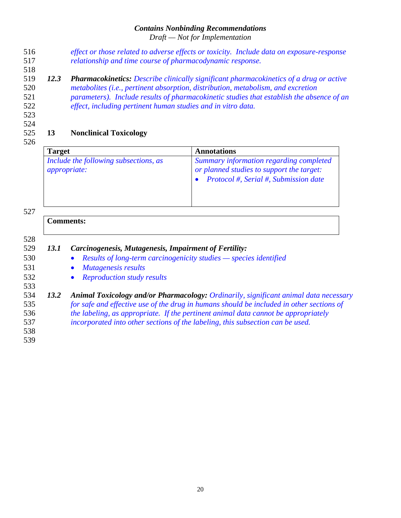*Draft — Not for Implementation* 

- *effect or those related to adverse effects or toxicity. Include data on exposure-response relationship and time course of pharmacodynamic response.* 516 517
- 519 520 521 522 *12.3 Pharmacokinetics: Describe clinically significant pharmacokinetics of a drug or active metabolites (i.e., pertinent absorption, distribution, metabolism, and excretion parameters). Include results of pharmacokinetic studies that establish the absence of an effect, including pertinent human studies and in vitro data.*
- 523

518

524

#### 525 **13 Nonclinical Toxicology**

526

| <b>Target</b>                                                | <b>Annotations</b>                                                                                                            |
|--------------------------------------------------------------|-------------------------------------------------------------------------------------------------------------------------------|
| Include the following subsections, as<br><i>appropriate:</i> | Summary information regarding completed<br>or planned studies to support the target:<br>Protocol #, Serial #, Submission date |

527

#### **Comments:**

528

531 532 533

- 529 530 *13.1 Carcinogenesis, Mutagenesis, Impairment of Fertility:*
	- *Results of long-term carcinogenicity studies species identified*
	- *Mutagenesis results*
		- *Reproduction study results*
- 534 535 536 537 *13.2 Animal Toxicology and/or Pharmacology: Ordinarily, significant animal data necessary for safe and effective use of the drug in humans should be included in other sections of the labeling, as appropriate. If the pertinent animal data cannot be appropriately incorporated into other sections of the labeling, this subsection can be used.*
- 538 539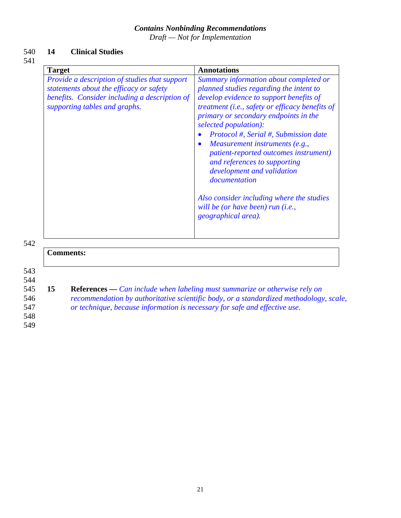*Draft — Not for Implementation* 

#### 540 **14 Clinical Studies**

#### 541

| Provide a description of studies that support<br>statements about the efficacy or safety<br>planned studies regarding the intent to<br>benefits. Consider including a description of<br>supporting tables and graphs.<br>primary or secondary endpoints in the<br>selected population):<br>Measurement instruments (e.g.,<br>$\bullet$<br>and references to supporting<br>development and validation<br>documentation<br>will be (or have been) run (i.e.,<br>geographical area). | <b>Target</b> | <b>Annotations</b>                                                                                                                                                                                                                                                  |
|-----------------------------------------------------------------------------------------------------------------------------------------------------------------------------------------------------------------------------------------------------------------------------------------------------------------------------------------------------------------------------------------------------------------------------------------------------------------------------------|---------------|---------------------------------------------------------------------------------------------------------------------------------------------------------------------------------------------------------------------------------------------------------------------|
|                                                                                                                                                                                                                                                                                                                                                                                                                                                                                   |               | Summary information about completed or<br>develop evidence to support benefits of<br>treatment (i.e., safety or efficacy benefits of<br>Protocol #, Serial #, Submission date<br>patient-reported outcomes instrument)<br>Also consider including where the studies |
| <b>Comments:</b>                                                                                                                                                                                                                                                                                                                                                                                                                                                                  |               |                                                                                                                                                                                                                                                                     |